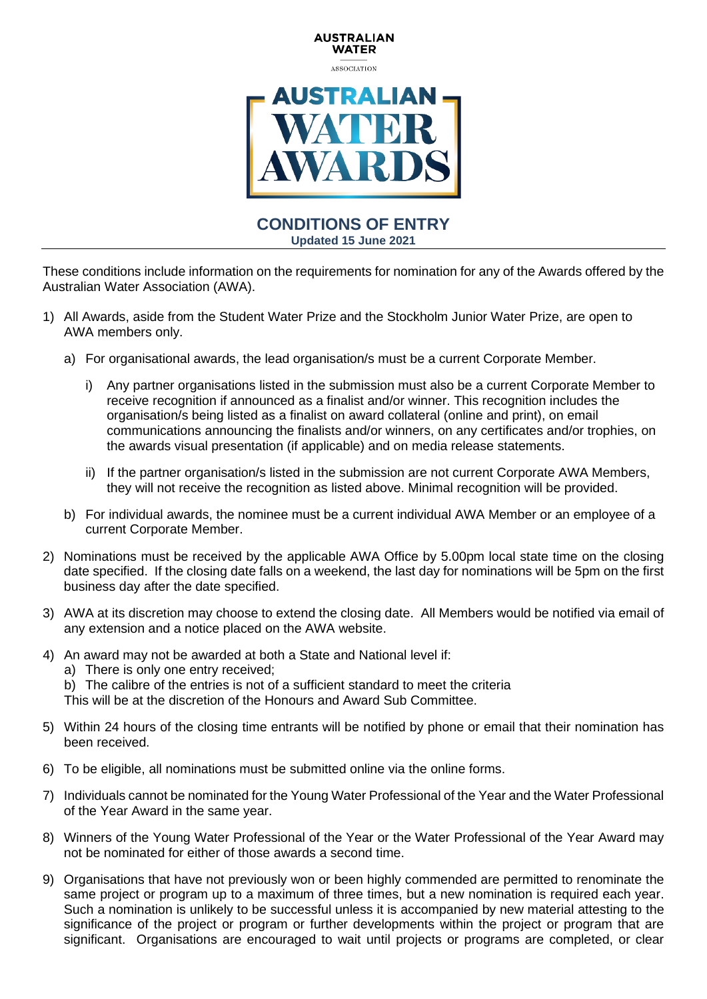

**AUSTRALIAN** 

## **CONDITIONS OF ENTRY Updated 15 June 2021**

These conditions include information on the requirements for nomination for any of the Awards offered by the Australian Water Association (AWA).

- 1) All Awards, aside from the Student Water Prize and the Stockholm Junior Water Prize, are open to AWA members only.
	- a) For organisational awards, the lead organisation/s must be a current Corporate Member.
		- i) Any partner organisations listed in the submission must also be a current Corporate Member to receive recognition if announced as a finalist and/or winner. This recognition includes the organisation/s being listed as a finalist on award collateral (online and print), on email communications announcing the finalists and/or winners, on any certificates and/or trophies, on the awards visual presentation (if applicable) and on media release statements.
		- ii) If the partner organisation/s listed in the submission are not current Corporate AWA Members, they will not receive the recognition as listed above. Minimal recognition will be provided.
	- b) For individual awards, the nominee must be a current individual AWA Member or an employee of a current Corporate Member.
- 2) Nominations must be received by the applicable AWA Office by 5.00pm local state time on the closing date specified. If the closing date falls on a weekend, the last day for nominations will be 5pm on the first business day after the date specified.
- 3) AWA at its discretion may choose to extend the closing date. All Members would be notified via email of any extension and a notice placed on the AWA website.
- 4) An award may not be awarded at both a State and National level if:
	- a) There is only one entry received;
	- b) The calibre of the entries is not of a sufficient standard to meet the criteria

This will be at the discretion of the Honours and Award Sub Committee.

- 5) Within 24 hours of the closing time entrants will be notified by phone or email that their nomination has been received.
- 6) To be eligible, all nominations must be submitted online via the online forms.
- 7) Individuals cannot be nominated for the Young Water Professional of the Year and the Water Professional of the Year Award in the same year.
- 8) Winners of the Young Water Professional of the Year or the Water Professional of the Year Award may not be nominated for either of those awards a second time.
- 9) Organisations that have not previously won or been highly commended are permitted to renominate the same project or program up to a maximum of three times, but a new nomination is required each year. Such a nomination is unlikely to be successful unless it is accompanied by new material attesting to the significance of the project or program or further developments within the project or program that are significant. Organisations are encouraged to wait until projects or programs are completed, or clear